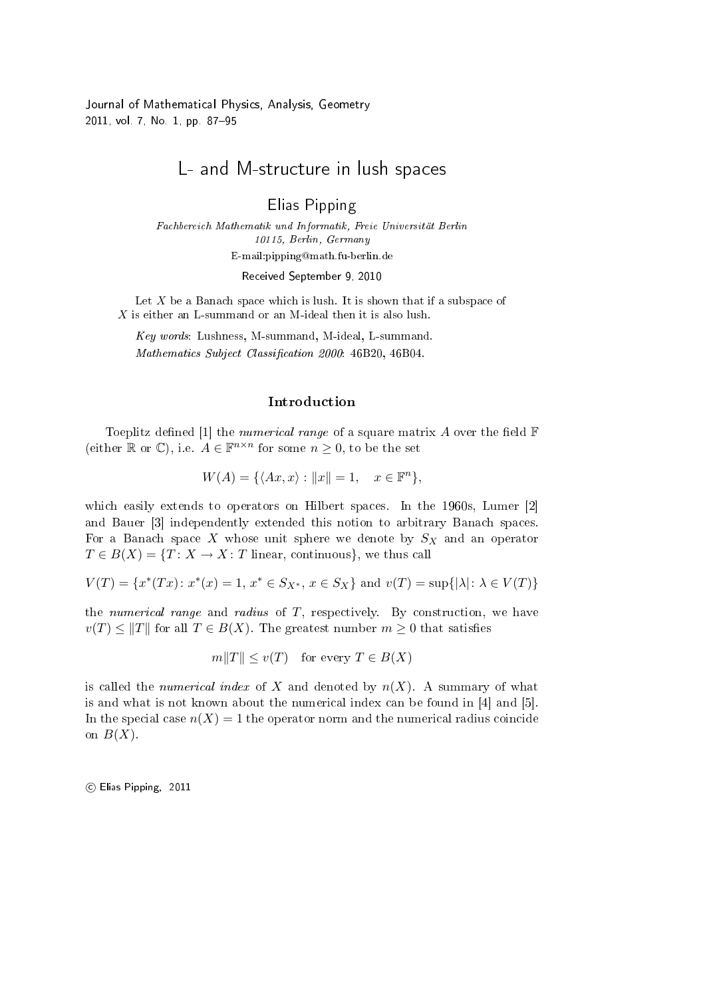Journal of Mathematical Physics, Analysis, Geometry 2011, vol. 7, No. 1, pp. 87-95

# L- and M-structure in lush spaces

Elias Pipping

Fachbereich Mathematik und Informatik, Freie Universität Berlin 10115, Berlin, Germany E-mail:pipping@math.fu-berlin.de Received September 9, 2010

Let  $X$  be a Banach space which is lush. It is shown that if a subspace of  $X$  is either an L-summand or an M-ideal then it is also lush.

Key words: Lushness, M-summand, M-ideal, L-summand. Mathematics Subject Classification 2000: 46B20, 46B04.

# Introduction

Toeplitz defined [1] the *numerical range* of a square matrix A over the field  $\mathbb{F}$ (either  $\mathbb R$  or  $\mathbb C$ ), i.e.  $A \in \mathbb F^{n \times n}$  for some  $n \geq 0$ , to be the set

$$
W(A) = \{ \langle Ax, x \rangle : ||x|| = 1, \quad x \in \mathbb{F}^n \},
$$

which easily extends to operators on Hilbert spaces. In the 1960s, Lumer [2] and Bauer [3] independently extended this notion to arbitrary Banach spaces. For a Banach space X whose unit sphere we denote by  $S_X$  and an operator  $T \in B(X) = \{T: X \to X: T \text{ linear, continuous}\},\$ we thus call

$$
V(T) = \{x^*(Tx) : x^*(x) = 1, x^* \in S_{X^*}, x \in S_X\} \text{ and } v(T) = \sup\{|\lambda| : \lambda \in V(T)\}\
$$

the numerical range and radius of  $T$ , respectively. By construction, we have  $v(T) \leq ||T||$  for all  $T \in B(X)$ . The greatest number  $m \geq 0$  that satisfies

$$
m||T|| \leq v(T)
$$
 for every  $T \in B(X)$ 

is called the *numerical index* of X and denoted by  $n(X)$ . A summary of what is and what is not known about the numerical index can be found in [4] and [5]. In the special case  $n(X) = 1$  the operator norm and the numerical radius coincide on  $B(X)$ .

°c Elias Pipping, 2011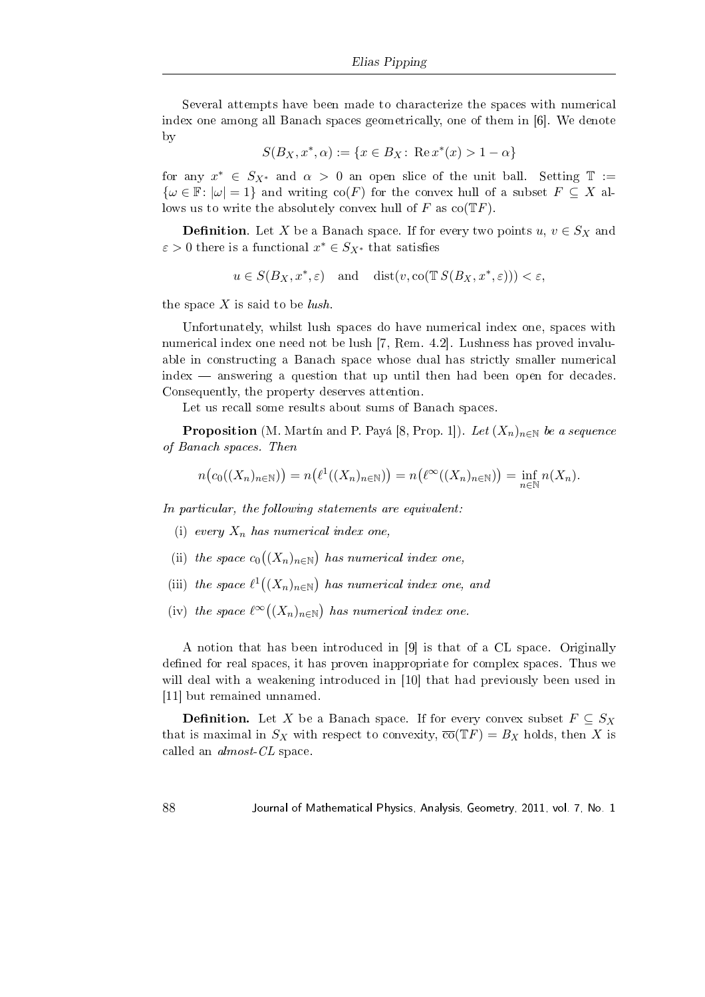Several attempts have been made to characterize the spaces with numerical index one among all Banach spaces geometrically, one of them in [6]. We denote by

$$
S(B_X, x^*, \alpha) := \{ x \in B_X \colon \operatorname{Re} x^*(x) > 1 - \alpha \}
$$

for any  $x^* \in S_{X^*}$  and  $\alpha > 0$  an open slice of the unit ball. Setting  $\mathbb{T} :=$  $\{\omega \in \mathbb{F}: |\omega|=1\}$  and writing  $\text{co}(F)$  for the convex hull of a subset  $F \subseteq X$  allows us to write the absolutely convex hull of F as  $co(TF)$ .

**Definition**. Let X be a Banach space. If for every two points  $u, v \in S_X$  and  $\varepsilon > 0$  there is a functional  $x^* \in S_{X^*}$  that satisfies

$$
u \in S(B_X, x^*, \varepsilon)
$$
 and  $dist(v, co(TS(B_X, x^*, \varepsilon))) < \varepsilon$ ,

the space  $X$  is said to be *lush*.

Unfortunately, whilst lush spaces do have numerical index one, spaces with numerical index one need not be lush [7, Rem. 4.2]. Lushness has proved invaluable in constructing a Banach space whose dual has strictly smaller numerical  $index$  — answering a question that up until then had been open for decades. Consequently, the property deserves attention.

Let us recall some results about sums of Banach spaces.

**Proposition** (M. Martín and P. Payá [8, Prop. 1]). Let  $(X_n)_{n\in\mathbb{N}}$  be a sequence of Banach spaces. Then

$$
n\big(c_0((X_n)_{n\in\mathbb{N}})\big) = n\big(\ell^1((X_n)_{n\in\mathbb{N}})\big) = n\big(\ell^{\infty}((X_n)_{n\in\mathbb{N}})\big) = \inf_{n\in\mathbb{N}} n(X_n).
$$

In particular, the following statements are equivalent:

- (i) every  $X_n$  has numerical index one,
- (ii) the space  $c_0$ ¡  $(X_n)_{n\in\mathbb{N}}$ ¢ has numerical index one,
- (iii) the space  $\ell^1$  (  $(X_n)_{n\in\mathbb{N}}$ ¢ has numerical index one, and
- (iv) the space  $\ell^{\infty}$  (  $(X_n)_{n\in\mathbb{N}}$ ¢ has numerical index one.

A notion that has been introduced in [9] is that of a CL space. Originally defined for real spaces, it has proven inappropriate for complex spaces. Thus we will deal with a weakening introduced in [10] that had previously been used in [11] but remained unnamed.

**Definition.** Let X be a Banach space. If for every convex subset  $F \subseteq S_X$ that is maximal in  $S_X$  with respect to convexity,  $\overline{co}(\mathbb{T}F) = B_X$  holds, then X is called an almost-CL space.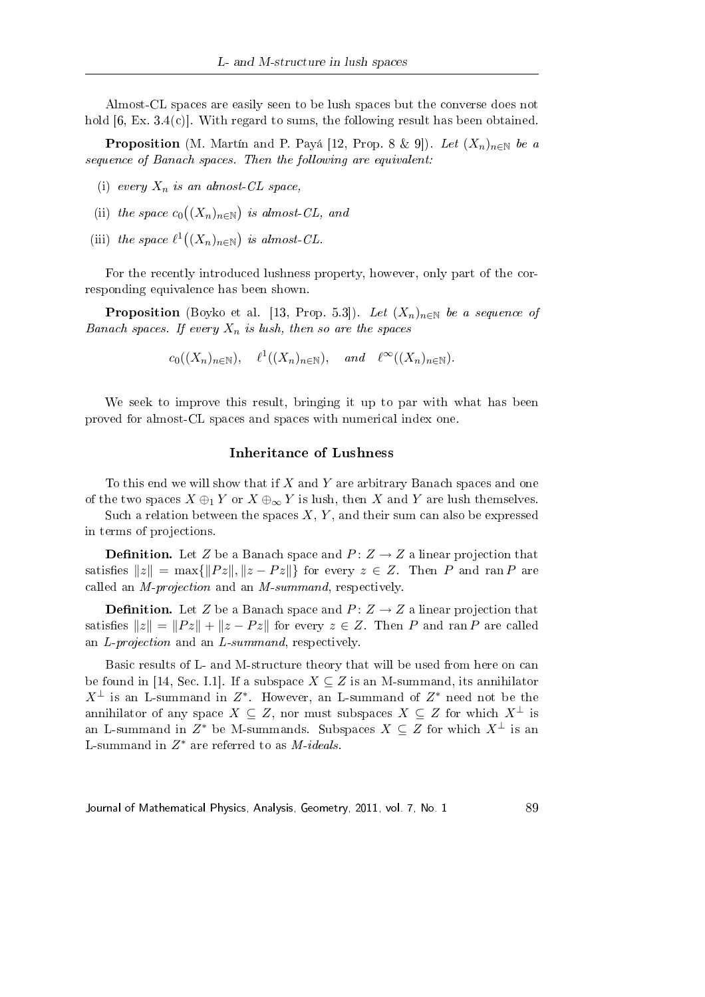Almost-CL spaces are easily seen to be lush spaces but the converse does not hold [6, Ex. 3.4(c)]. With regard to sums, the following result has been obtained.

**Proposition** (M. Martín and P. Payá [12, Prop. 8 & 9]). Let  $(X_n)_{n\in\mathbb{N}}$  be a sequence of Banach spaces. Then the following are equivalent:

- (i) every  $X_n$  is an almost-CL space,
- (ii) the space  $c_0$ ¡  $(X_n)_{n\in\mathbb{N}}$ ¢ is almost-CL, and
- (iii) the space  $\ell^1$  (  $(X_n)_{n\in\mathbb{N}}$ ¢ is almost-CL.

For the recently introduced lushness property, however, only part of the corresponding equivalence has been shown.

**Proposition** (Boyko et al. [13, Prop. 5.3]). Let  $(X_n)_{n\in\mathbb{N}}$  be a sequence of Banach spaces. If every  $X_n$  is lush, then so are the spaces

$$
c_0((X_n)_{n\in\mathbb{N}}), \ell^1((X_n)_{n\in\mathbb{N}}), \text{ and } \ell^{\infty}((X_n)_{n\in\mathbb{N}}).
$$

We seek to improve this result, bringing it up to par with what has been proved for almost-CL spaces and spaces with numerical index one.

## Inheritance of Lushness

To this end we will show that if  $X$  and  $Y$  are arbitrary Banach spaces and one of the two spaces  $X \oplus_1 Y$  or  $X \oplus_{\infty} Y$  is lush, then X and Y are lush themselves.

Such a relation between the spaces  $X, Y$ , and their sum can also be expressed in terms of projections.

**Definition.** Let Z be a Banach space and  $P: Z \rightarrow Z$  a linear projection that satisfies  $||z|| = \max{||Pz||, ||z - Pz||}$  for every  $z \in Z$ . Then P and ran P are called an M-projection and an M-summand, respectively.

**Definition.** Let Z be a Banach space and  $P: Z \rightarrow Z$  a linear projection that satisfies  $||z|| = ||Pz|| + ||z - Pz||$  for every  $z \in Z$ . Then P and ran P are called an L-projection and an L-summand, respectively.

Basic results of L- and M-structure theory that will be used from here on can be found in [14, Sec. I.1]. If a subspace  $X \subseteq Z$  is an M-summand, its annihilator  $X^{\perp}$  is an L-summand in  $Z^*$ . However, an L-summand of  $Z^*$  need not be the annihilator of any space  $X \subseteq Z$ , nor must subspaces  $X \subseteq Z$  for which  $X^{\perp}$  is an L-summand in  $Z^*$  be M-summands. Subspaces  $X \subseteq Z$  for which  $X^\perp$  is an L-summand in  $Z^*$  are referred to as  $M$ -ideals.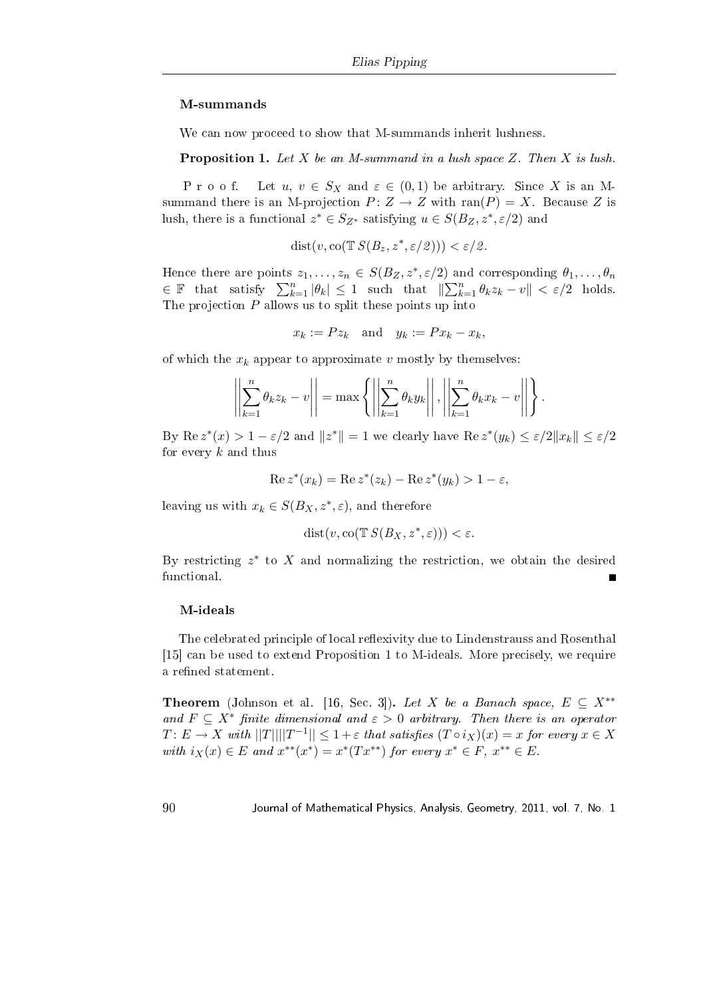#### M-summands

We can now proceed to show that M-summands inherit lushness.

**Proposition 1.** Let X be an M-summand in a lush space Z. Then X is lush.

P r o o f. Let  $u, v \in S_X$  and  $\varepsilon \in (0,1)$  be arbitrary. Since X is an Msummand there is an M-projection  $P: Z \to Z$  with ran(P) = X. Because Z is lush, there is a functional  $z^* \in S_{Z^*}$  satisfying  $u \in S(B_Z, z^*, \varepsilon/2)$  and

$$
dist(v, co(T S(B_z, z^*, \varepsilon/2))) < \varepsilon/2.
$$

Hence there are points  $z_1, \ldots, z_n \in S(B_Z, z^*, \varepsilon/2)$  and corresponding  $\theta_1, \ldots, \theta_n$ Thence there are points  $z_1, \ldots, z_n \in S(DZ, z^2, z^2)$ <br>  $\in \mathbb{F}$  that satisfy  $\sum_{k=1}^n |\theta_k| \leq 1$  such that  $\parallel$ ) al.<br> $\sum n$  $\frac{n}{k=1} \theta_k z_k - v \| < \varepsilon/2$  holds. The projection  $P$  allows us to split these points up into

 $x_k := P z_k$  and  $y_k := P x_k - x_k$ ,

of which the  $x_k$  appear to approximate v mostly by themselves:

$$
\left\| \sum_{k=1}^n \theta_k z_k - v \right\| = \max \left\{ \left\| \sum_{k=1}^n \theta_k y_k \right\|, \left\| \sum_{k=1}^n \theta_k x_k - v \right\| \right\}.
$$

By Re  $z^*(x) > 1 - \varepsilon/2$  and  $||z^*|| = 1$  we clearly have Re  $z^*(y_k) \le \varepsilon/2||x_k|| \le \varepsilon/2$ for every  $k$  and thus

$$
\operatorname{Re} z^*(x_k) = \operatorname{Re} z^*(z_k) - \operatorname{Re} z^*(y_k) > 1 - \varepsilon,
$$

leaving us with  $x_k \in S(B_X, z^*, \varepsilon)$ , and therefore

$$
dist(v, co(T S(B_X, z^*, \varepsilon))) < \varepsilon.
$$

By restricting  $z^*$  to X and normalizing the restriction, we obtain the desired functional.

#### M-ideals

The celebrated principle of local reflexivity due to Lindenstrauss and Rosenthal [15] can be used to extend Proposition 1 to M-ideals. More precisely, we require a refined statement.

**Theorem** (Johnson et al. [16, Sec. 3]). Let X be a Banach space,  $E \subseteq X^{**}$ and  $F \subseteq X^*$  finite dimensional and  $\varepsilon > 0$  arbitrary. Then there is an operator  $T\colon E\to X$  with  $||T|| ||T^{-1}||\leq 1+\varepsilon$  that satisfies  $(T\circ i_X)(x)=x$  for every  $x\in X$ with  $i_X(x) \in E$  and  $x^{**}(x^*) = x^*(Tx^{**})$  for every  $x^* \in F$ ,  $x^{**} \in E$ .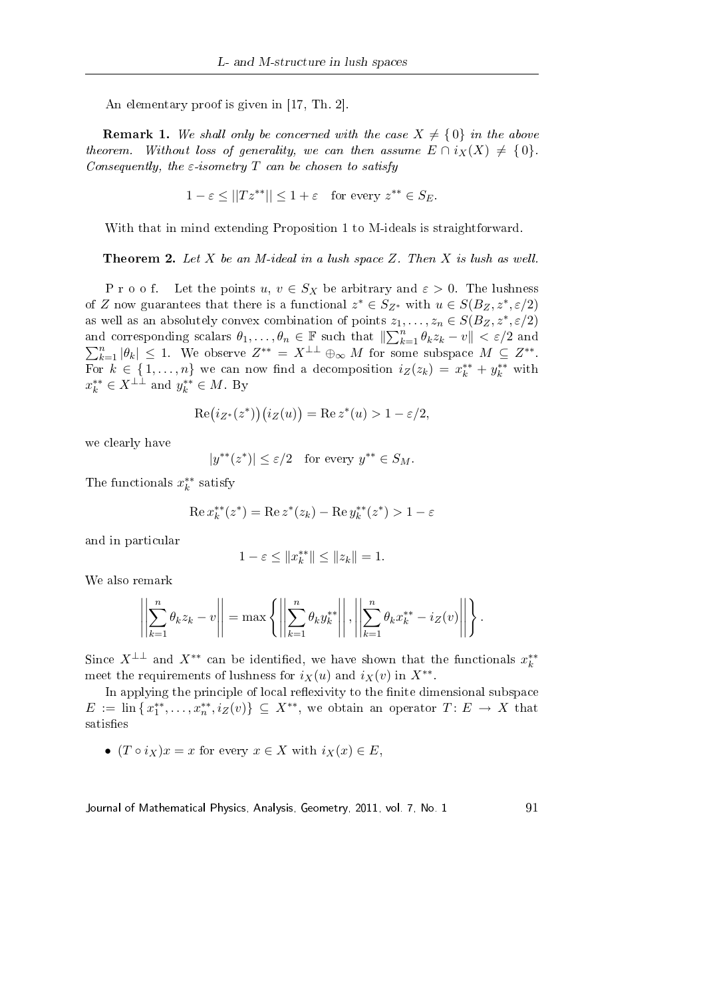An elementary proof is given in [17, Th. 2].

**Remark 1.** We shall only be concerned with the case  $X \neq \{0\}$  in the above theorem. Without loss of generality, we can then assume  $E \cap i_X(X) \neq \{0\}$ . Consequently, the  $\varepsilon$ -isometry T can be chosen to satisfy

$$
1 - \varepsilon \le ||Tz^{**}|| \le 1 + \varepsilon \quad \text{for every } z^{**} \in S_E.
$$

With that in mind extending Proposition 1 to M-ideals is straightforward.

**Theorem 2.** Let  $X$  be an M-ideal in a lush space  $Z$ . Then  $X$  is lush as well.

P r o o f. Let the points  $u, v \in S_X$  be arbitrary and  $\varepsilon > 0$ . The lushness of Z now guarantees that there is a functional  $z^* \in S_{Z^*}$  with  $u \in S(B_Z, z^*, \varepsilon/2)$ as well as an absolutely convex combination of points  $z_1, \ldots, z_n \in S(B_Z, z^*, \varepsilon/2)$ as wen as an absolutely convex combination of points  $z_1$ ,<br>and corresponding scalars  $\theta_1,\ldots,\theta_n\in\mathbb{F}$  such that  $\|\sum_k^n$ and corresponding scalars  $\theta_1, \ldots, \theta_n \in \mathbb{F}$  such that  $\|\sum_{k=1}^n \theta_k z_k - v\| < \varepsilon/2$  and  $\sum_{k=1}^n |\theta_k| \leq 1$ . We observe  $Z^{**} = X^{\perp \perp} \oplus_{\infty} M$  for some subspace  $M \subseteq Z^{**}$ . For  $k \in \{1, \ldots, n\}$  we can now find a decomposition  $i_Z(z_k) = x_k^{**} + y_k^{**}$  with  $x_k^{**} \in X^{\perp \perp}$  and  $y_k^{**} \in M$ . By

$$
Re(i_{Z^*}(z^*))(i_Z(u)) = Re z^*(u) > 1 - \varepsilon/2,
$$

we clearly have

$$
|y^{**}(z^*)| \le \varepsilon/2 \quad \text{for every } y^{**} \in S_M.
$$

The functionals  $x_k^{**}$  satisfy

$$
\operatorname{Re} x_k^{**}(z^*)=\operatorname{Re} z^*(z_k)-\operatorname{Re} y_k^{**}(z^*)>1-\varepsilon
$$

and in particular

$$
1 - \varepsilon \le ||x_k^{**}|| \le ||z_k|| = 1.
$$

We also remark

$$
\left\| \sum_{k=1}^{n} \theta_k z_k - v \right\| = \max \left\{ \left\| \sum_{k=1}^{n} \theta_k y_k^{**} \right\|, \left\| \sum_{k=1}^{n} \theta_k x_k^{**} - iz(v) \right\| \right\}.
$$

Since  $X^{\perp \perp}$  and  $X^{**}$  can be identified, we have shown that the functionals  $x_k^{**}$ meet the requirements of lushness for  $i_X(u)$  and  $i_X(v)$  in  $X^{**}$ .

In applying the principle of local reflexivity to the finite dimensional subspace  $E := \text{lin}\{x_1^{**},\ldots,x_n^{**},i_Z(v)\} \subseteq X^{**}$ , we obtain an operator  $T: E \to X$  that satisfies

•  $(T \circ i_X)x = x$  for every  $x \in X$  with  $i_X(x) \in E$ .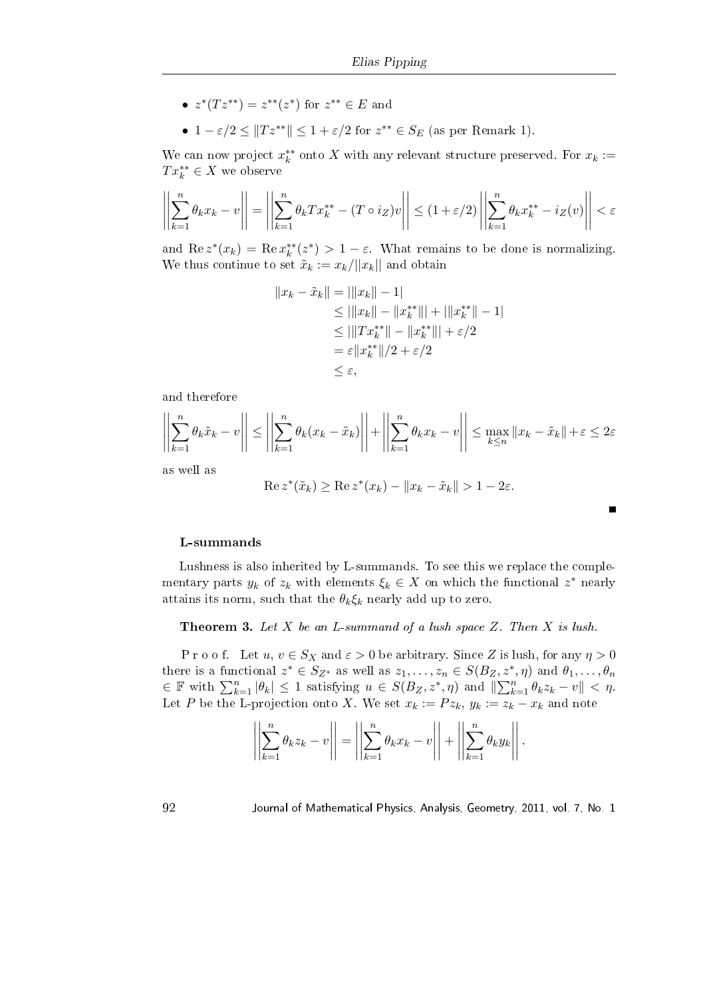- $z^*(Tz^{**}) = z^{**}(z^*)$  for  $z^{**} \in E$  and
- $1 \varepsilon/2 \leq ||Tz^{**}|| \leq 1 + \varepsilon/2$  for  $z^{**} \in S_E$  (as per Remark 1).

We can now project  $x_k^{**}$  onto X with any relevant structure preserved. For  $x_k :=$  $Tx_k^{**} \in X$  we observe

$$
\left|\left|\sum_{k=1}^n\theta_kx_k-v\right|\right|=\left|\left|\sum_{k=1}^n\theta_kTx_k^{**}-(T\circ i_Z)v\right|\right|\leq (1+\varepsilon/2)\left|\left|\sum_{k=1}^n\theta_kx_k^{**}-i_Z(v)\right|\right|<\varepsilon
$$

and  $\text{Re } z^*(x_k) = \text{Re } x_k^{**}(z^*) > 1 - \varepsilon$ . What remains to be done is normalizing. We thus continue to set  $\tilde{x}_k := x_k/||x_k||$  and obtain

$$
||x_k - \tilde{x}_k|| = ||x_k|| - 1|
$$
  
\n
$$
\le ||x_k|| - ||x_k^{**}|| + ||x_k^{**}|| - 1|
$$
  
\n
$$
\le ||Tx_k^{**}|| - ||x_k^{**}|| + \varepsilon/2
$$
  
\n
$$
= \varepsilon ||x_k^{**}||/2 + \varepsilon/2
$$
  
\n
$$
\le \varepsilon,
$$

and therefore

$$
\left| \left| \sum_{k=1}^n \theta_k \tilde{x}_k - v \right| \right| \le \left| \left| \sum_{k=1}^n \theta_k (x_k - \tilde{x}_k) \right| \right| + \left| \left| \sum_{k=1}^n \theta_k x_k - v \right| \right| \le \max_{k \le n} \|x_k - \tilde{x}_k\| + \varepsilon \le 2\varepsilon
$$

as well as

$$
\operatorname{Re} z^*(\tilde{x}_k) \ge \operatorname{Re} z^*(x_k) - \|x_k - \tilde{x}_k\| > 1 - 2\varepsilon.
$$

## L-summands

Lushness is also inherited by L-summands. To see this we replace the complementary parts  $y_k$  of  $z_k$  with elements  $\xi_k \in X$  on which the functional  $z^*$  nearly attains its norm, such that the  $\theta_k \xi_k$  nearly add up to zero.

**Theorem 3.** Let  $X$  be an L-summand of a lush space  $Z$ . Then  $X$  is lush.

P r o o f. Let  $u, v \in S_X$  and  $\varepsilon > 0$  be arbitrary. Since Z is lush, for any  $\eta > 0$ there is a functional  $z^* \in S_{Z^*}$  as well as  $z_1, \ldots, z_n \in S(B_Z, z^*, \eta)$  and  $\theta_1, \ldots, \theta_n$ equality in the E statistical state is  $z_1, \ldots, z_n \in S(D_Z, z)$ <br>  $\in \mathbb{F}$  with  $\sum_{k=1}^n |\theta_k| \leq 1$  satisfying  $u \in S(D_Z, z^*, \eta)$  and  $\|\sum_k^n$  $\lim_{k=1}^n \theta_k z_k - v \Vert < \eta.$ Let P be the L-projection onto X. We set  $x_k := P z_k$ ,  $y_k := z_k - x_k$  and note

$$
\left\| \sum_{k=1}^n \theta_k z_k - v \right\| = \left\| \sum_{k=1}^n \theta_k x_k - v \right\| + \left\| \sum_{k=1}^n \theta_k y_k \right\|.
$$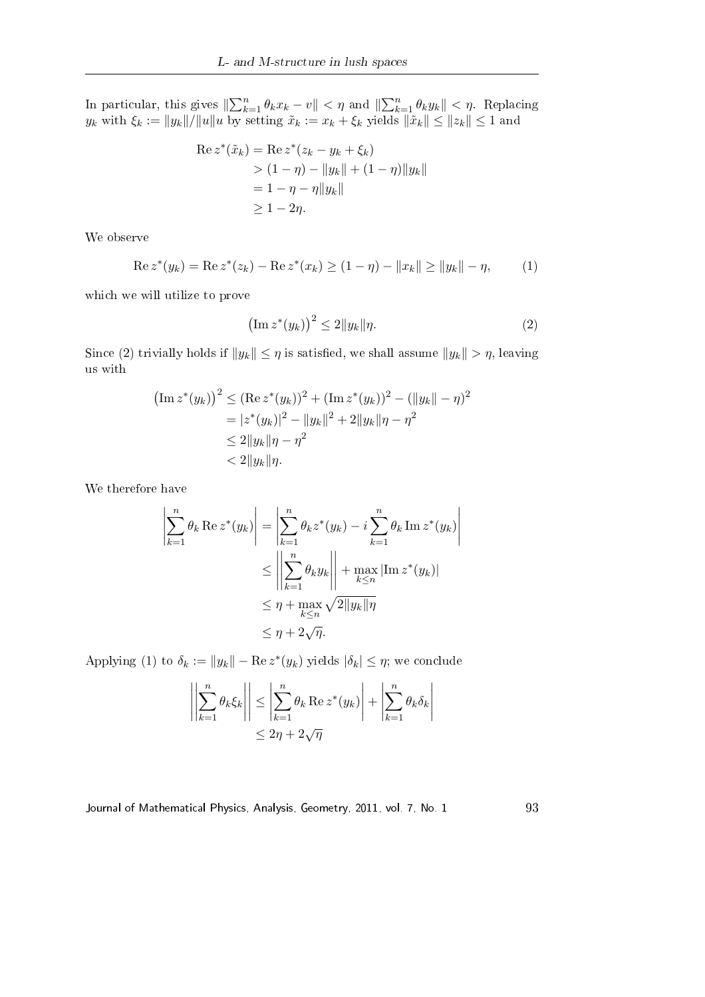In particular, this gives  $\|\sum_{k}^{n}$  $\lim_{k=1}^n \theta_k x_k - v$  ||  $< \eta$  and ||  $\sum_{n=1}^{\infty}$  $\lim_{k=1}^n \theta_k y_k \Vert < \eta$ . Replacing  $y_k$  with  $\xi_k := \|y_k\|/\|u\|$ u by setting  $\tilde{x}_k := x_k + \xi_k$  yields  $\|\tilde{x}_k\| \leq \|z_k\| \leq 1$  and

$$
\begin{aligned} \text{Re}\, z^*(\tilde{x}_k) &= \text{Re}\, z^*(z_k - y_k + \xi_k) \\ &> (1 - \eta) - \|y_k\| + (1 - \eta)\|y_k\| \\ &= 1 - \eta - \eta \|y_k\| \\ &\ge 1 - 2\eta. \end{aligned}
$$

We observe

$$
\operatorname{Re} z^*(y_k) = \operatorname{Re} z^*(z_k) - \operatorname{Re} z^*(x_k) \ge (1 - \eta) - ||x_k|| \ge ||y_k|| - \eta,
$$
 (1)

which we will utilize to prove

$$
\left(\operatorname{Im} z^*(y_k)\right)^2 \le 2\|y_k\|\eta. \tag{2}
$$

Since (2) trivially holds if  $||y_k|| \leq \eta$  is satisfied, we shall assume  $||y_k|| > \eta$ , leaving us with

$$
\begin{aligned} \left(\operatorname{Im} z^*(y_k)\right)^2 &\leq (\operatorname{Re} z^*(y_k))^2 + (\operatorname{Im} z^*(y_k))^2 - (\|y_k\| - \eta)^2 \\ &= |z^*(y_k)|^2 - \|y_k\|^2 + 2\|y_k\|\eta - \eta^2 \\ &\leq 2\|y_k\|\eta - \eta^2 \\ &< 2\|y_k\|\eta. \end{aligned}
$$

We therefore have

$$
\left| \sum_{k=1}^{n} \theta_k \operatorname{Re} z^*(y_k) \right| = \left| \sum_{k=1}^{n} \theta_k z^*(y_k) - i \sum_{k=1}^{n} \theta_k \operatorname{Im} z^*(y_k) \right|
$$
  

$$
\leq \left| \left| \sum_{k=1}^{n} \theta_k y_k \right| \right| + \max_{k \leq n} |\operatorname{Im} z^*(y_k)|
$$
  

$$
\leq \eta + \max_{k \leq n} \sqrt{2 \|y_k\|} \eta
$$
  

$$
\leq \eta + 2\sqrt{\eta}.
$$

Applying (1) to  $\delta_k := ||y_k|| - \text{Re } z^*(y_k)$  yields  $|\delta_k| \leq \eta$ ; we conclude

$$
\left| \left| \sum_{k=1}^{n} \theta_k \xi_k \right| \right| \le \left| \sum_{k=1}^{n} \theta_k \operatorname{Re} z^*(y_k) \right| + \left| \sum_{k=1}^{n} \theta_k \delta_k \right|
$$
  

$$
\le 2\eta + 2\sqrt{\eta}
$$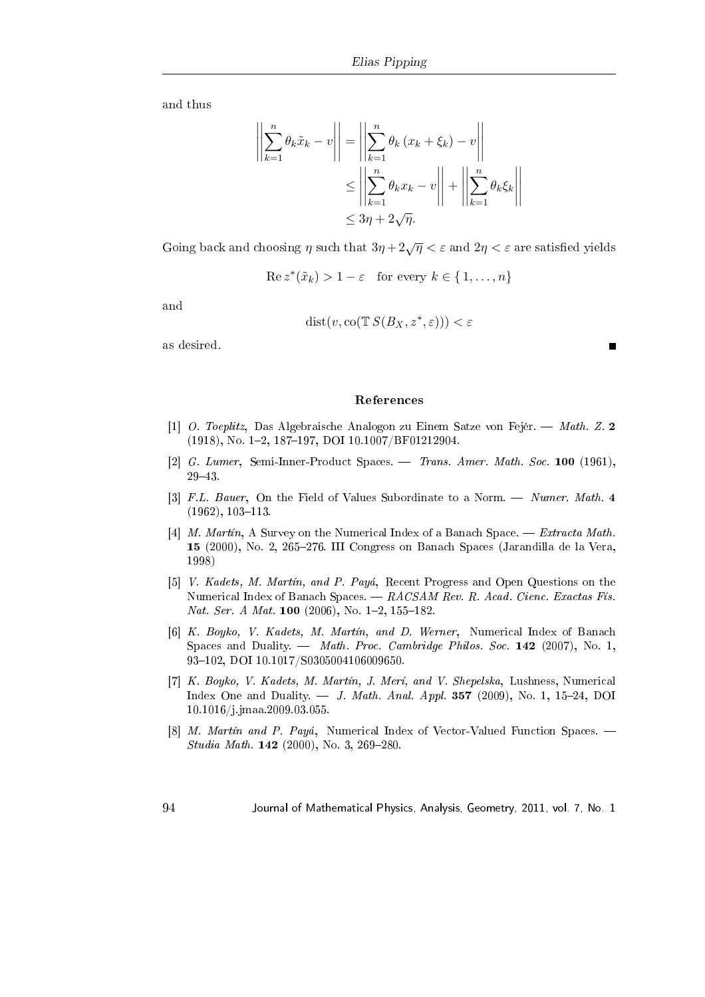and thus

$$
\left\| \sum_{k=1}^{n} \theta_k \tilde{x}_k - v \right\| = \left\| \sum_{k=1}^{n} \theta_k (x_k + \xi_k) - v \right\|
$$
  

$$
\leq \left\| \sum_{k=1}^{n} \theta_k x_k - v \right\| + \left\| \sum_{k=1}^{n} \theta_k \xi_k \right\|
$$
  

$$
\leq 3\eta + 2\sqrt{\eta}.
$$

Going back and choosing  $\eta$  such that  $3\eta + 2\sqrt{\eta} < \varepsilon$  and  $2\eta < \varepsilon$  are satisfied yields

$$
\operatorname{Re} z^*(\tilde{x}_k) > 1 - \varepsilon \quad \text{for every } k \in \{1, \dots, n\}
$$

and

$$
dist(v, co(TS(S_X, z^*, \varepsilon))) < \varepsilon
$$

 $\blacksquare$ 

as desired.

#### References

- [1] O. Toeplitz, Das Algebraische Analogon zu Einem Satze von Fejér. Math. Z. 2 (1918), No. 1-2, 187-197, DOI 10.1007/BF01212904.
- [2] G. Lumer, Semi-Inner-Product Spaces. Trans. Amer. Math. Soc. 100 (1961), 2943.
- [3] F.L. Bauer, On the Field of Values Subordinate to a Norm. Numer. Math. 4  $(1962), 103-113.$
- [4] M. Martín, A Survey on the Numerical Index of a Banach Space. Extracta Math. 15 (2000), No. 2, 265276. III Congress on Banach Spaces (Jarandilla de la Vera, 1998)
- [5] V. Kadets, M. Martín, and P. Payá, Recent Progress and Open Questions on the Numerical Index of Banach Spaces.  $-RACSAM Rev. R. Acad. Cienc. Exactas Fís.$ Nat. Ser. A Mat. 100  $(2006)$ , No. 1-2, 155-182.
- [6] K. Boyko, V. Kadets, M. Martín, and D. Werner, Numerical Index of Banach Spaces and Duality.  $-$  Math. Proc. Cambridge Philos. Soc. 142 (2007), No. 1, 93-102, DOI 10.1017/S0305004106009650.
- [7] K. Boyko, V. Kadets, M. Martín, J. Merí, and V. Shepelska, Lushness, Numerical Index One and Duality.  $-$  J. Math. Anal. Appl. 357 (2009), No. 1, 15-24, DOI 10.1016/j.jmaa.2009.03.055.
- [8] M. Martín and P. Payá, Numerical Index of Vector-Valued Function Spaces. Studia Math.  $142$  (2000), No. 3, 269-280.